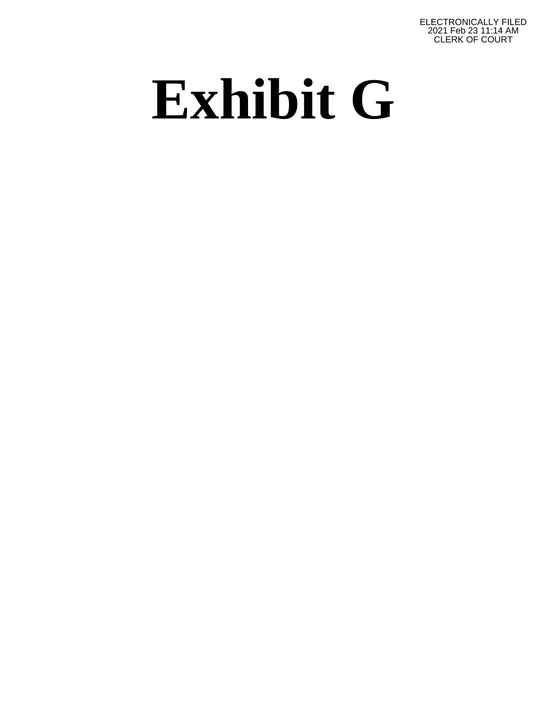ELECTRONICALLY FILED 2021 Feb 23 11:14 AM CLERK OF COURT

## **Exhibit G**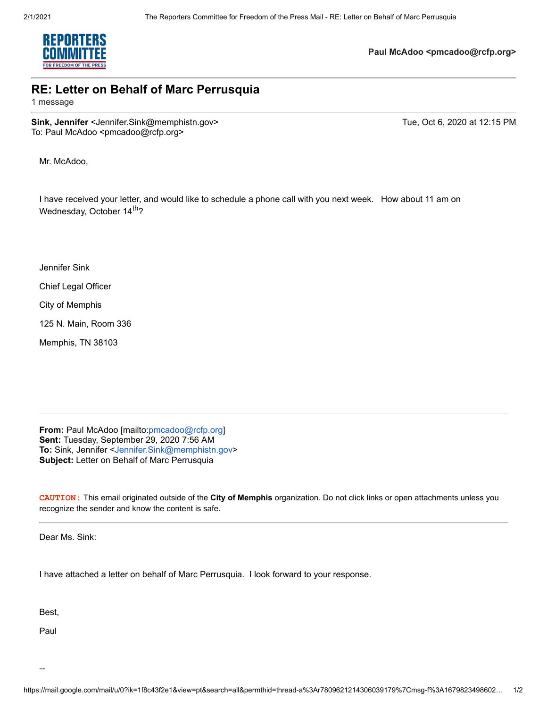

**Paul McAdoo <pmcadoo@rcfp.org>**

## **RE: Letter on Behalf of Marc Perrusquia**

1 message

**Sink, Jennifer** <Jennifer.Sink@memphistn.gov> Tue, Oct 6, 2020 at 12:15 PM To: Paul McAdoo <pmcadoo@rcfp.org>

Mr. McAdoo,

I have received your letter, and would like to schedule a phone call with you next week. How about 11 am on Wednesday, October 14<sup>th</sup>?

Jennifer Sink

Chief Legal Officer

City of Memphis

125 N. Main, Room 336

Memphis, TN 38103

**From:** Paul McAdoo [mailto:pmcadoo@rcfp.org] **Sent:** Tuesday, September 29, 2020 7:56 AM **To:** Sink, Jennifer <Jennifer.Sink@memphistn.gov> **Subject:** Letter on Behalf of Marc Perrusquia

**CAUTION:** This email originated outside of the **City of Memphis** organization. Do not click links or open attachments unless you recognize the sender and know the content is safe.

Dear Ms. Sink:

I have attached a letter on behalf of Marc Perrusquia. I look forward to your response.

Best,

Paul

--